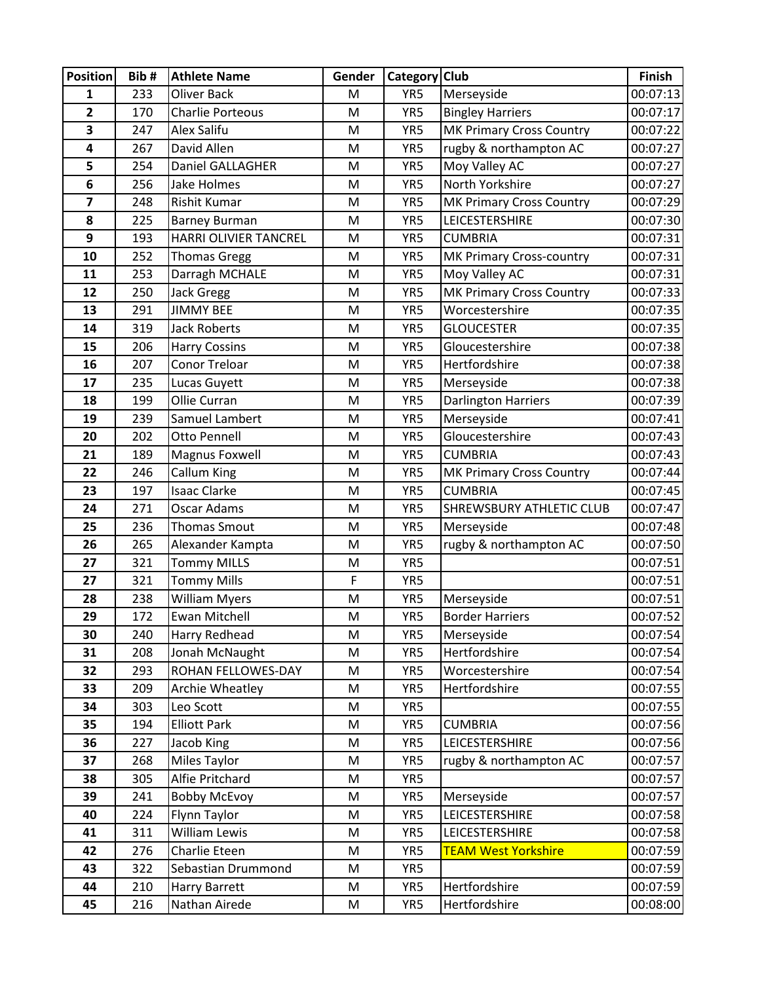| <b>Position</b>         | Bib#       | <b>Athlete Name</b>             | Gender | Category Club |                                 | Finish               |
|-------------------------|------------|---------------------------------|--------|---------------|---------------------------------|----------------------|
| 1                       | 233        | <b>Oliver Back</b>              | M      | YR5           | Merseyside                      | 00:07:13             |
| $\overline{\mathbf{c}}$ | 170        | <b>Charlie Porteous</b>         | M      | YR5           | <b>Bingley Harriers</b>         | 00:07:17             |
| 3                       | 247        | Alex Salifu                     | M      | YR5           | <b>MK Primary Cross Country</b> | 00:07:22             |
| 4                       | 267        | David Allen                     | M      | YR5           | rugby & northampton AC          | 00:07:27             |
| 5                       | 254        | Daniel GALLAGHER                | M      | YR5           | Moy Valley AC                   | 00:07:27             |
| 6                       | 256        | Jake Holmes                     | M      | YR5           | North Yorkshire                 | 00:07:27             |
| 7                       | 248        | <b>Rishit Kumar</b>             | M      | YR5           | MK Primary Cross Country        | 00:07:29             |
| 8                       | 225        | <b>Barney Burman</b>            | M      | YR5           | LEICESTERSHIRE                  | 00:07:30             |
| 9                       | 193        | HARRI OLIVIER TANCREL           | M      | YR5           | <b>CUMBRIA</b>                  | 00:07:31             |
| 10                      | 252        | <b>Thomas Gregg</b>             | M      | YR5           | MK Primary Cross-country        | 00:07:31             |
| 11                      | 253        | Darragh MCHALE                  | M      | YR5           | Moy Valley AC                   | 00:07:31             |
| 12                      | 250        | <b>Jack Gregg</b>               | M      | YR5           | MK Primary Cross Country        | 00:07:33             |
| 13                      | 291        | <b>JIMMY BEE</b>                | M      | YR5           | Worcestershire                  | 00:07:35             |
| 14                      | 319        | <b>Jack Roberts</b>             | M      | YR5           | <b>GLOUCESTER</b>               | 00:07:35             |
| 15                      | 206        | <b>Harry Cossins</b>            | M      | YR5           | Gloucestershire                 | 00:07:38             |
| 16                      | 207        | Conor Treloar                   | M      | YR5           | Hertfordshire                   | 00:07:38             |
| 17                      | 235        | Lucas Guyett                    | M      | YR5           | Merseyside                      | 00:07:38             |
| 18                      | 199        | Ollie Curran                    | M      | YR5           | <b>Darlington Harriers</b>      | 00:07:39             |
| 19                      | 239        | Samuel Lambert                  | M      | YR5           | Merseyside                      | 00:07:41             |
| 20                      | 202        | Otto Pennell                    | M      | YR5           | Gloucestershire                 | 00:07:43             |
| 21                      | 189        | Magnus Foxwell                  | M      | YR5           | <b>CUMBRIA</b>                  | 00:07:43             |
| 22                      | 246        | Callum King                     | M      | YR5           | MK Primary Cross Country        | 00:07:44             |
| 23                      | 197        | <b>Isaac Clarke</b>             | M      | YR5           | <b>CUMBRIA</b>                  | 00:07:45             |
| 24                      | 271        | Oscar Adams                     | M      | YR5           | <b>SHREWSBURY ATHLETIC CLUB</b> | 00:07:47             |
| 25                      | 236        | <b>Thomas Smout</b>             | M      | YR5           | Merseyside                      | 00:07:48             |
| 26                      | 265        | Alexander Kampta                | M      | YR5           | rugby & northampton AC          | 00:07:50             |
| 27                      | 321        | <b>Tommy MILLS</b>              | M      | YR5           |                                 | 00:07:51             |
| 27                      | 321        | <b>Tommy Mills</b>              | F      | YR5           |                                 | 00:07:51             |
| 28                      | 238        | <b>William Myers</b>            | M      | YR5           | Merseyside                      | 00:07:51             |
| 29                      | 172        | <b>Ewan Mitchell</b>            | M      | YR5           | <b>Border Harriers</b>          | 00:07:52             |
| 30<br>31                | 240<br>208 | Harry Redhead<br>Jonah McNaught | M<br>M | YR5<br>YR5    | Merseyside<br>Hertfordshire     | 00:07:54<br>00:07:54 |
| 32                      | 293        | ROHAN FELLOWES-DAY              | M      | YR5           | Worcestershire                  | 00:07:54             |
| 33                      | 209        | Archie Wheatley                 | M      | YR5           | Hertfordshire                   | 00:07:55             |
| 34                      | 303        | Leo Scott                       | M      | YR5           |                                 | 00:07:55             |
| 35                      | 194        | <b>Elliott Park</b>             | M      | YR5           | <b>CUMBRIA</b>                  | 00:07:56             |
| 36                      | 227        | Jacob King                      | M      | YR5           | LEICESTERSHIRE                  | 00:07:56             |
| 37                      | 268        | Miles Taylor                    | M      | YR5           | rugby & northampton AC          | 00:07:57             |
| 38                      | 305        | Alfie Pritchard                 | M      | YR5           |                                 | 00:07:57             |
| 39                      | 241        | <b>Bobby McEvoy</b>             | M      | YR5           | Merseyside                      | 00:07:57             |
| 40                      | 224        | Flynn Taylor                    | M      | YR5           | LEICESTERSHIRE                  | 00:07:58             |
| 41                      | 311        | William Lewis                   | M      | YR5           | LEICESTERSHIRE                  | 00:07:58             |
| 42                      | 276        | Charlie Eteen                   | M      | YR5           | <b>TEAM West Yorkshire</b>      | 00:07:59             |
| 43                      | 322        | Sebastian Drummond              | M      | YR5           |                                 | 00:07:59             |
| 44                      | 210        | Harry Barrett                   | M      | YR5           | Hertfordshire                   | 00:07:59             |
| 45                      | 216        | Nathan Airede                   | M      | YR5           | Hertfordshire                   | 00:08:00             |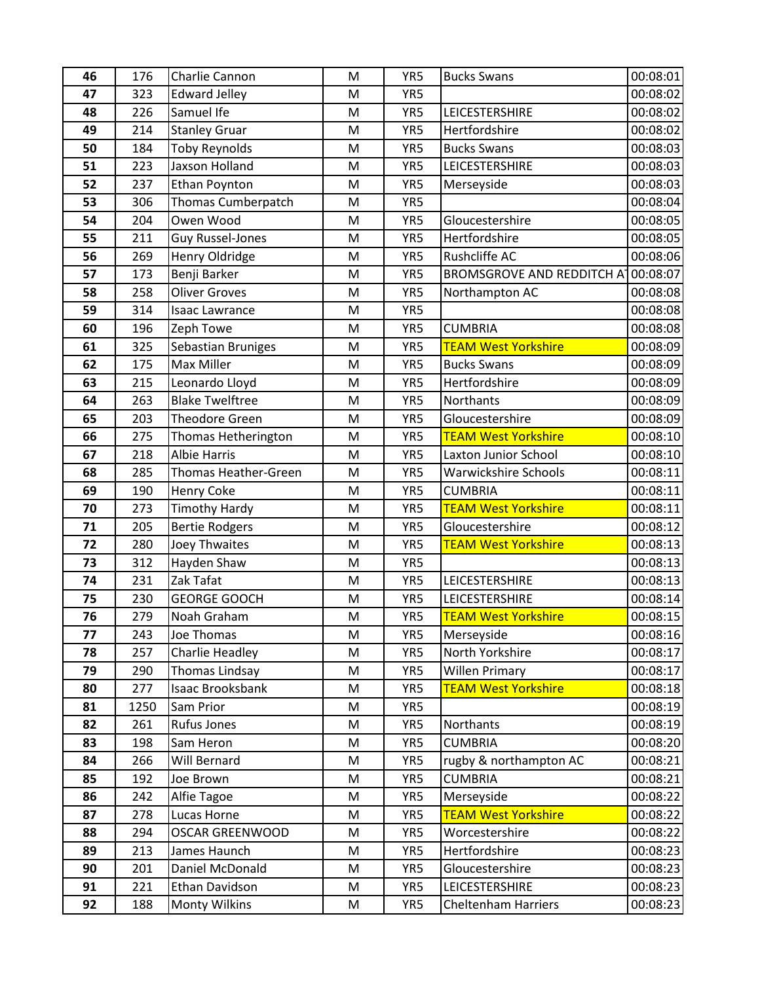| 46       | 176        | Charlie Cannon                     | M      | YR5        | <b>Bucks Swans</b>                                  | 00:08:01             |
|----------|------------|------------------------------------|--------|------------|-----------------------------------------------------|----------------------|
| 47       | 323        | <b>Edward Jelley</b>               | M      | YR5        |                                                     | 00:08:02             |
| 48       | 226        | Samuel Ife                         | M      | YR5        | LEICESTERSHIRE                                      | 00:08:02             |
| 49       | 214        | <b>Stanley Gruar</b>               | M      | YR5        | Hertfordshire                                       | 00:08:02             |
| 50       | 184        | <b>Toby Reynolds</b>               | M      | YR5        | <b>Bucks Swans</b>                                  | 00:08:03             |
| 51       | 223        | Jaxson Holland                     | M      | YR5        | LEICESTERSHIRE                                      | 00:08:03             |
| 52       | 237        | <b>Ethan Poynton</b>               | M      | YR5        | Merseyside                                          | 00:08:03             |
| 53       | 306        | Thomas Cumberpatch                 | M      | YR5        |                                                     | 00:08:04             |
| 54       | 204        | Owen Wood                          | M      | YR5        | Gloucestershire                                     | 00:08:05             |
| 55       | 211        | <b>Guy Russel-Jones</b>            | M      | YR5        | Hertfordshire                                       | 00:08:05             |
| 56       | 269        | Henry Oldridge                     | M      | YR5        | <b>Rushcliffe AC</b>                                | 00:08:06             |
| 57       | 173        | Benji Barker                       | M      | YR5        | <b>BROMSGROVE AND REDDITCH AT</b>                   | 00:08:07             |
| 58       | 258        | <b>Oliver Groves</b>               | M      | YR5        | Northampton AC                                      | 00:08:08             |
| 59       | 314        | <b>Isaac Lawrance</b>              | M      | YR5        |                                                     | 00:08:08             |
| 60       | 196        | Zeph Towe                          | M      | YR5        | <b>CUMBRIA</b>                                      | 00:08:08             |
| 61       | 325        | Sebastian Bruniges                 | M      | YR5        | <b>TEAM West Yorkshire</b>                          | 00:08:09             |
| 62       | 175        | <b>Max Miller</b>                  | M      | YR5        | <b>Bucks Swans</b>                                  | 00:08:09             |
| 63       | 215        | Leonardo Lloyd                     | M      | YR5        | Hertfordshire                                       | 00:08:09             |
| 64       | 263        | <b>Blake Twelftree</b>             | M      | YR5        | Northants                                           | 00:08:09             |
| 65       | 203        | <b>Theodore Green</b>              | M      | YR5        | Gloucestershire                                     | 00:08:09             |
| 66       | 275        | Thomas Hetherington                | M      | YR5        | <b>TEAM West Yorkshire</b>                          | 00:08:10             |
| 67       | 218        | <b>Albie Harris</b>                | M      | YR5        | Laxton Junior School                                | 00:08:10             |
| 68       | 285        | <b>Thomas Heather-Green</b>        | M      | YR5        | <b>Warwickshire Schools</b>                         | 00:08:11             |
| 69       | 190        | <b>Henry Coke</b>                  | M      | YR5        | <b>CUMBRIA</b>                                      | 00:08:11             |
| 70       | 273        | <b>Timothy Hardy</b>               | M      | YR5        | <b>TEAM West Yorkshire</b>                          | 00:08:11             |
| 71       | 205        | <b>Bertie Rodgers</b>              | M      | YR5        | Gloucestershire                                     | 00:08:12             |
| 72       | 280        | Joey Thwaites                      | M      | YR5        | <b>TEAM West Yorkshire</b>                          | 00:08:13             |
| 73       | 312        | Hayden Shaw                        | M      | YR5        |                                                     | 00:08:13             |
| 74       | 231        | Zak Tafat                          | M      | YR5        | LEICESTERSHIRE                                      | 00:08:13             |
| 75       | 230        | <b>GEORGE GOOCH</b>                | M      | YR5        | <b>LEICESTERSHIRE</b>                               | 00:08:14             |
| 76       | 279        | Noah Graham                        | M      | YR5        | <b>TEAM West Yorkshire</b>                          | 00:08:15             |
| 77       | 243        | Joe Thomas                         | M      | YR5        | Merseyside                                          | 00:08:16             |
| 78       | 257        | Charlie Headley                    | M      | YR5        | North Yorkshire                                     | 00:08:17             |
| 79       | 290<br>277 | Thomas Lindsay<br>Isaac Brooksbank | M<br>M | YR5<br>YR5 | <b>Willen Primary</b><br><b>TEAM West Yorkshire</b> | 00:08:17<br>00:08:18 |
| 80<br>81 | 1250       | Sam Prior                          | M      | YR5        |                                                     | 00:08:19             |
| 82       | 261        | <b>Rufus Jones</b>                 | M      | YR5        | Northants                                           | 00:08:19             |
| 83       | 198        | Sam Heron                          | M      | YR5        | <b>CUMBRIA</b>                                      | 00:08:20             |
| 84       | 266        | Will Bernard                       | M      | YR5        | rugby & northampton AC                              | 00:08:21             |
| 85       | 192        | Joe Brown                          | M      | YR5        | <b>CUMBRIA</b>                                      | 00:08:21             |
| 86       | 242        | Alfie Tagoe                        | M      | YR5        | Merseyside                                          | 00:08:22             |
| 87       | 278        | Lucas Horne                        | M      | YR5        | <b>TEAM West Yorkshire</b>                          | 00:08:22             |
| 88       | 294        | <b>OSCAR GREENWOOD</b>             | M      | YR5        | Worcestershire                                      | 00:08:22             |
| 89       | 213        | James Haunch                       | M      | YR5        | Hertfordshire                                       | 00:08:23             |
| 90       | 201        | Daniel McDonald                    | M      | YR5        | Gloucestershire                                     | 00:08:23             |
| 91       | 221        | <b>Ethan Davidson</b>              | M      | YR5        | <b>LEICESTERSHIRE</b>                               | 00:08:23             |
| 92       | 188        | <b>Monty Wilkins</b>               | M      | YR5        | <b>Cheltenham Harriers</b>                          | 00:08:23             |
|          |            |                                    |        |            |                                                     |                      |